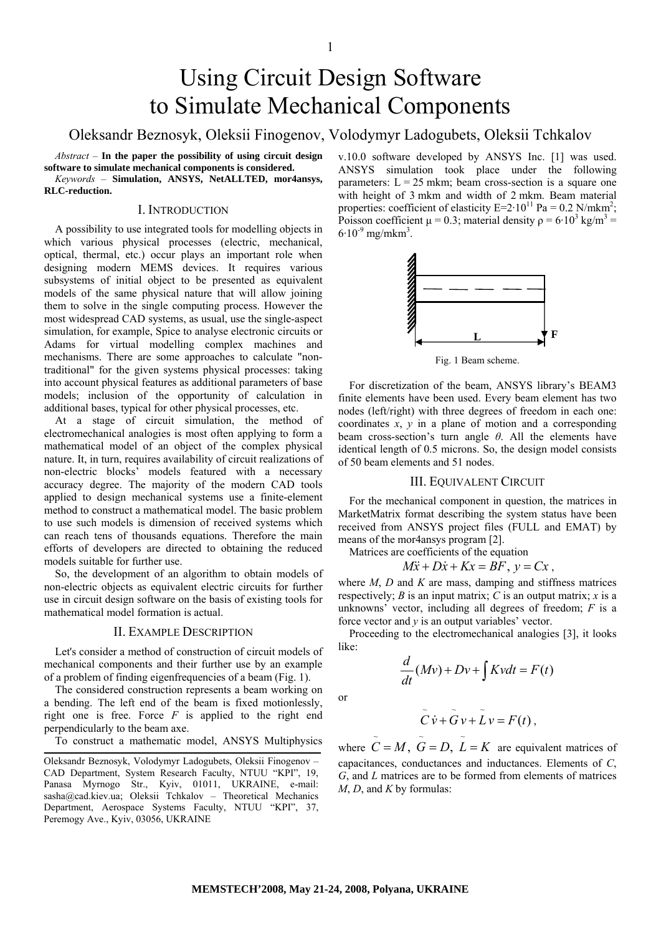# Using Circuit Design Software to Simulate Mechanical Components

# Oleksandr Beznosyk, Oleksii Finogenov, Volodymyr Ladogubets, Oleksii Tchkalov

*Abstract* – **In the paper the possibility of using circuit design software to simulate mechanical components is considered.**

*Keywords* – **Simulation, ANSYS, NetALLTED, mor4ansys, RLC-reduction.**

## I. INTRODUCTION

A possibility to use integrated tools for modelling objects in which various physical processes (electric, mechanical, optical, thermal, etc.) occur plays an important role when designing modern MEMS devices. It requires various subsystems of initial object to be presented as equivalent models of the same physical nature that will allow joining them to solve in the single computing process. However the most widespread CAD systems, as usual, use the single-aspect simulation, for example, Spice to analyse electronic circuits or Adams for virtual modelling complex machines and mechanisms. There are some approaches to calculate "nontraditional" for the given systems physical processes: taking into account physical features as additional parameters of base models; inclusion of the opportunity of calculation in additional bases, typical for other physical processes, etc.

At a stage of circuit simulation, the method of electromechanical analogies is most often applying to form a mathematical model of an object of the complex physical nature. It, in turn, requires availability of circuit realizations of non-electric blocks' models featured with a necessary accuracy degree. The majority of the modern CAD tools applied to design mechanical systems use a finite-element method to construct a mathematical model. The basic problem to use such models is dimension of received systems which can reach tens of thousands equations. Therefore the main efforts of developers are directed to obtaining the reduced models suitable for further use.

So, the development of an algorithm to obtain models of non-electric objects as equivalent electric circuits for further use in circuit design software on the basis of existing tools for mathematical model formation is actual.

#### II. EXAMPLE DESCRIPTION

Let's consider a method of construction of circuit models of mechanical components and their further use by an example of a problem of finding eigenfrequencies of a beam (Fig. 1).

The considered construction represents a beam working on a bending. The left end of the beam is fixed motionlessly, right one is free. Force *F* is applied to the right end perpendicularly to the beam axe.

To construct a mathematic model, ANSYS Multiphysics

Oleksandr Beznosyk, Volodymyr Ladogubets, Oleksii Finogenov – CAD Department, System Research Faculty, NTUU "KPI", 19, Panasa Myrnogo Str., Kyiv, 01011, UKRAINE, e-mail: sasha@cad.kiev.ua; Oleksii Tchkalov – Theoretical Mechanics Department, Aerospace Systems Faculty, NTUU "KPI", 37, Peremogy Ave., Kyiv, 03056, UKRAINE

v.10.0 software developed by ANSYS Inc. [1] was used. ANSYS simulation took place under the following parameters:  $L = 25$  mkm; beam cross-section is a square one with height of 3 mkm and width of 2 mkm. Beam material properties: coefficient of elasticity  $E=2.10^{11}$  Pa = 0.2 N/mkm<sup>2</sup>; Poisson coefficient  $\mu = 0.3$ ; material density  $\rho = 6.10^3$  kg/m<sup>3</sup> =  $6.10^{9}$  mg/mkm<sup>3</sup>.



Fig. 1 Beam scheme.

For discretization of the beam, ANSYS library's BEAM3 finite elements have been used. Every beam element has two nodes (left/right) with three degrees of freedom in each one: coordinates *x*, *y* in a plane of motion and a corresponding beam cross-section's turn angle *θ*. All the elements have identical length of 0.5 microns. So, the design model consists of 50 beam elements and 51 nodes.

#### III. EQUIVALENT CIRCUIT

For the mechanical component in question, the matrices in MarketMatrix format describing the system status have been received from ANSYS project files (FULL and EMAT) by means of the mor4ansys program [2].

Matrices are coefficients of the equation

 $M\ddot{x} + D\dot{x} + Kx = BF, y = Cx,$ 

where *M*, *D* and *K* are mass, damping and stiffness matrices respectively; *B* is an input matrix; *C* is an output matrix; *x* is a unknowns' vector, including all degrees of freedom; *F* is a force vector and *y* is an output variables' vector.

Proceeding to the electromechanical analogies [3], it looks like:

$$
\frac{d}{dt}(Mv) + Dv + \int Kvdt = F(t)
$$

or

$$
\tilde{C}\,\dot{v}+\tilde{G}\,v+\tilde{L}\,v=F(t)\,,
$$

where  $C = M$ ,  $\tilde{G} = D$ ,  $\tilde{L} = K$  are equivalent matrices of capacitances, conductances and inductances. Elements of *C*, *G*, and *L* matrices are to be formed from elements of matrices *М*, *D*, and *K* by formulas: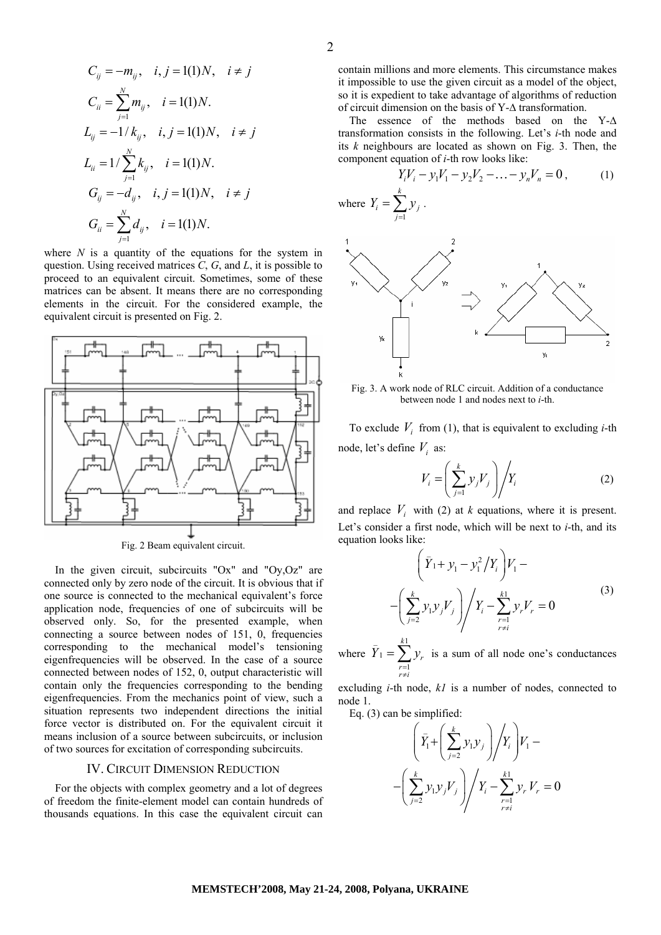$$
C_{ij} = -m_{ij}, \quad i, j = 1(1)N, \quad i \neq j
$$
  
\n
$$
C_{ii} = \sum_{j=1}^{N} m_{ij}, \quad i = 1(1)N.
$$
  
\n
$$
L_{ij} = -1/k_{ij}, \quad i, j = 1(1)N, \quad i \neq j
$$
  
\n
$$
L_{ii} = 1/\sum_{j=1}^{N} k_{ij}, \quad i = 1(1)N.
$$
  
\n
$$
G_{ij} = -d_{ij}, \quad i, j = 1(1)N, \quad i \neq j
$$
  
\n
$$
G_{ii} = \sum_{j=1}^{N} d_{ij}, \quad i = 1(1)N.
$$

where *N* is a quantity of the equations for the system in question. Using received matrices *C*, *G*, and *L*, it is possible to proceed to an equivalent circuit. Sometimes, some of these matrices can be absent. It means there are no corresponding elements in the circuit. For the considered example, the equivalent circuit is presented on Fig. 2.



Fig. 2 Beam equivalent circuit.

In the given circuit, subcircuits "Ox" and "Oy,Oz" are connected only by zero node of the circuit. It is obvious that if one source is connected to the mechanical equivalent's force application node, frequencies of one of subcircuits will be observed only. So, for the presented example, when connecting a source between nodes of 151, 0, frequencies corresponding to the mechanical model's tensioning eigenfrequencies will be observed. In the case of a source connected between nodes of 152, 0, output characteristic will contain only the frequencies corresponding to the bending eigenfrequencies. From the mechanics point of view, such a situation represents two independent directions the initial force vector is distributed on. For the equivalent circuit it means inclusion of a source between subcircuits, or inclusion of two sources for excitation of corresponding subcircuits.

#### IV. CIRCUIT DIMENSION REDUCTION

For the objects with complex geometry and a lot of degrees of freedom the finite-element model can contain hundreds of thousands equations. In this case the equivalent circuit can

contain millions and more elements. This circumstance makes it impossible to use the given circuit as a model of the object, so it is expedient to take advantage of algorithms of reduction of circuit dimension on the basis of Y-∆ transformation.

The essence of the methods based on the Y-∆ transformation consists in the following. Let's *i*-th node and its *k* neighbours are located as shown on Fig. 3. Then, the component equation of *i*-th row looks like:

$$
Y_{i}V_{i} - y_{1}V_{1} - y_{2}V_{2} - \dots - y_{n}V_{n} = 0, \qquad (1)
$$
\nwhere  $Y_{i} = \sum_{j=1}^{k} y_{j}$ .

Fig. 3. A work node of RLC circuit. Addition of a conductance between node 1 and nodes next to *i*-th.

To exclude  $V_i$  from (1), that is equivalent to excluding *i*-th node, let's define  $V_i$  as:

$$
V_i = \left(\sum_{j=1}^k y_j V_j\right) / Y_i \tag{2}
$$

and replace  $V_i$  with (2) at  $k$  equations, where it is present. Let's consider a first node, which will be next to *i*-th, and its equation looks like:

$$
\left(\bar{Y}_1 + y_1 - y_1^2 / Y_i\right) V_1 - \left(\sum_{j=2}^k y_j y_j V_j\right) / Y_i - \sum_{\substack{r=1 \ r \neq i}}^{k} y_r V_r = 0
$$
\n(3)

where  $k<sub>1</sub>$ 1 1 *k r r*  $r \neq i$  $Y_1 = \sum y$  $=\sum_{r=1} y_r$  is a sum of all node one's conductances ≠

excluding *i*-th node, *k1* is a number of nodes, connected to node 1.

Eq. (3) can be simplified:

$$
\left(\bar{Y}_1 + \left(\sum_{j=2}^k y_j y_j\right) / Y_i\right) / Y_1 - \left(\sum_{j=2}^k y_j y_j V_j\right) / Y_i - \sum_{\substack{r=1 \ r \neq i}}^k y_r V_r = 0
$$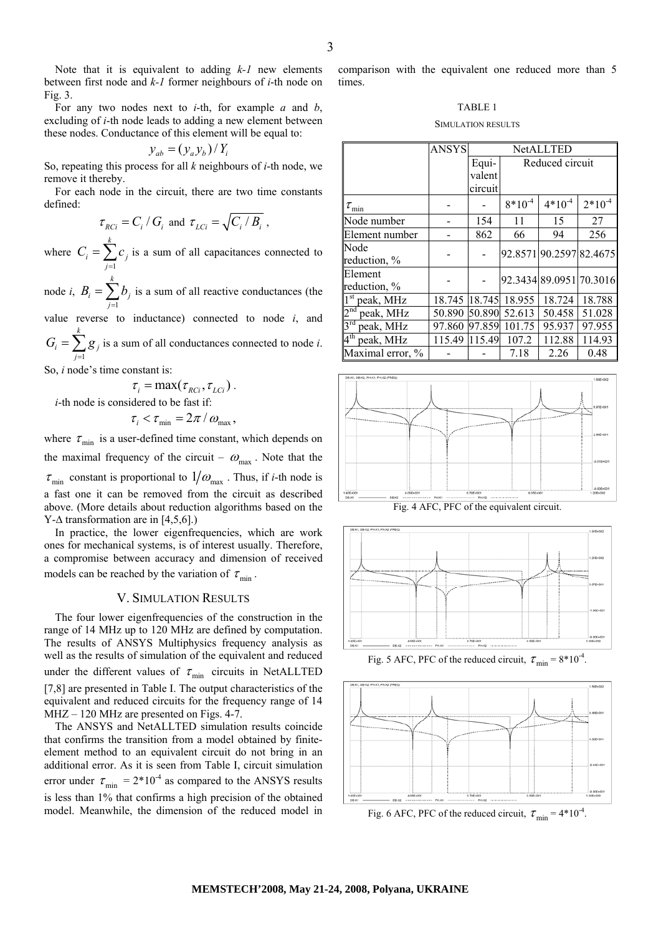Note that it is equivalent to adding *k-1* new elements between first node and *k-1* former neighbours of *i*-th node on Fig. 3.

For any two nodes next to *i*-th, for example *a* and *b*, excluding of *i*-th node leads to adding a new element between these nodes. Conductance of this element will be equal to:

$$
y_{ab} = (y_a y_b) / Y_i
$$

So, repeating this process for all *k* neighbours of *i*-th node, we remove it thereby.

For each node in the circuit, there are two time constants defined:

$$
\tau_{RCi} = C_i / G_i \text{ and } \tau_{LCi} = \sqrt{C_i / B_i} ,
$$

where 1  $i = \sum_i c_j$ *j*  $C_i = \sum c_i$  $=\sum_{j=1}^{ } c_j$  is a sum of all capacitances connected to

node *i*, 1 *k*  $i = \sum_i v_j$ *j*  $B_i = \sum b$  $=\sum_{j=1}^{ } b_j$  is a sum of all reactive conductances (the

value reverse to inductance) connected to node *i*, and 1 *k*  $G_i = \sum g_j$ *j*  $=\sum_{j=1}$   $g_j$  is a sum of all conductances connected to node *i*.

So, *i* node's time constant is:

 $\tau_i = \max(\tau_{RCi}, \tau_{LCi})$ .

*i*-th node is considered to be fast if:

$$
\tau_i < \tau_{\min} = 2\pi / \omega_{\max},
$$

where  $\tau_{\min}$  is a user-defined time constant, which depends on the maximal frequency of the circuit –  $\omega_{\text{max}}$ . Note that the  $\tau_{\min}$  constant is proportional to  $1/\omega_{\max}$ . Thus, if *i*-th node is a fast one it can be removed from the circuit as described above. (More details about reduction algorithms based on the Y- $\Delta$  transformation are in [4,5,6].)

In practice, the lower eigenfrequencies, which are work ones for mechanical systems, is of interest usually. Therefore, a compromise between accuracy and dimension of received models can be reached by the variation of  $\tau_{\min}$ .

#### V. SIMULATION RESULTS

The four lower eigenfrequencies of the construction in the range of 14 MHz up to 120 MHz are defined by computation. The results of ANSYS Multiphysics frequency analysis as well as the results of simulation of the equivalent and reduced under the different values of  $\tau_{\min}$  circuits in NetALLTED [7,8] are presented in Table I. The output characteristics of the equivalent and reduced circuits for the frequency range of 14 MHZ – 120 MHz are presented on Figs. 4-7.

The ANSYS and NetALLTED simulation results coincide that confirms the transition from a model obtained by finiteelement method to an equivalent circuit do not bring in an additional error. As it is seen from Table I, circuit simulation error under  $\tau_{\text{min}} = 2*10^{-4}$  as compared to the ANSYS results is less than 1% that confirms a high precision of the obtained model. Meanwhile, the dimension of the reduced model in

comparison with the equivalent one reduced more than 5 times.

### TABLE 1

#### SIMULATION RESULTS

|                           | <b>ANSYS</b> | NetALLTED |                 |                         |             |
|---------------------------|--------------|-----------|-----------------|-------------------------|-------------|
|                           |              | Equi-     | Reduced circuit |                         |             |
|                           |              | valent    |                 |                         |             |
|                           |              | circuit   |                 |                         |             |
| $\tau_{\rm min}$          |              |           | $8*10^{-4}$     | $4*10^{-4}$             | $2*10^{-4}$ |
| Node number               |              | 154       | 11              | 15                      | 27          |
| Element number            |              | 862       | 66              | 94                      | 256         |
| Node<br>reduction, %      |              |           |                 | 92.8571 90.2597 82.4675 |             |
| Element<br>reduction, %   |              |           |                 | 92.3434 89.0951 70.3016 |             |
| 1 <sup>st</sup> peak, MHz | 18.745       | 18.745    | 18.955          | 18.724                  | 18.788      |
| $2nd$ peak, MHz           | 50.890       | 50.890    | 52.613          | 50.458                  | 51.028      |
| $3rd$ peak, MHz           | 97.860       | 97.859    | 101.75          | 95.937                  | 97.955      |
| $4th$ peak, MHz           | 115.49       | 115.49    | 107.2           | 112.88                  | 114.93      |
| Maximal error, %          |              |           | 7.18            | 2.26                    | 0.48        |







Fig. 5 AFC, PFC of the reduced circuit,  $\tau_{\text{min}} = 8*10^{-4}$ .



Fig. 6 AFC, PFC of the reduced circuit,  $\tau_{\text{min}} = 4*10^{-4}$ .